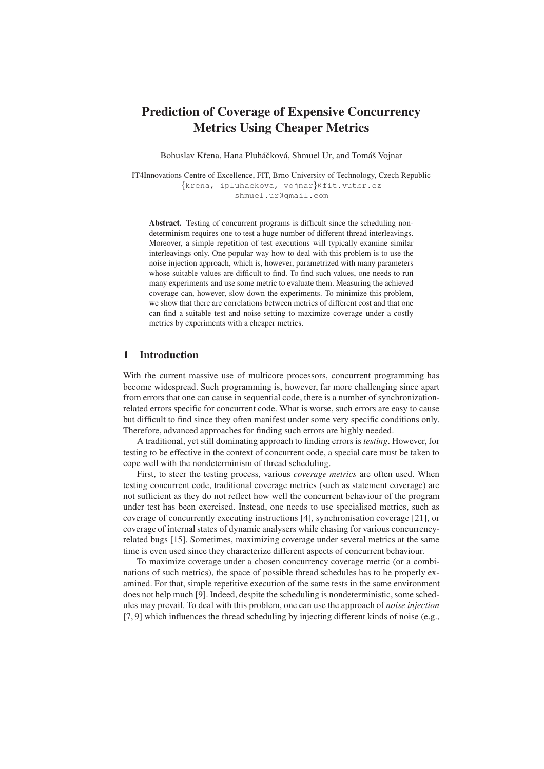# Prediction of Coverage of Expensive Concurrency Metrics Using Cheaper Metrics

Bohuslav Křena, Hana Pluháčková, Shmuel Ur, and Tomáš Vojnar

IT4Innovations Centre of Excellence, FIT, Brno University of Technology, Czech Republic {krena, ipluhackova, vojnar}@fit.vutbr.cz shmuel.ur@gmail.com

Abstract. Testing of concurrent programs is difficult since the scheduling nondeterminism requires one to test a huge number of different thread interleavings. Moreover, a simple repetition of test executions will typically examine similar interleavings only. One popular way how to deal with this problem is to use the noise injection approach, which is, however, parametrized with many parameters whose suitable values are difficult to find. To find such values, one needs to run many experiments and use some metric to evaluate them. Measuring the achieved coverage can, however, slow down the experiments. To minimize this problem, we show that there are correlations between metrics of different cost and that one can find a suitable test and noise setting to maximize coverage under a costly metrics by experiments with a cheaper metrics.

## 1 Introduction

With the current massive use of multicore processors, concurrent programming has become widespread. Such programming is, however, far more challenging since apart from errors that one can cause in sequential code, there is a number of synchronizationrelated errors specific for concurrent code. What is worse, such errors are easy to cause but difficult to find since they often manifest under some very specific conditions only. Therefore, advanced approaches for finding such errors are highly needed.

A traditional, yet still dominating approach to finding errors is *testing*. However, for testing to be effective in the context of concurrent code, a special care must be taken to cope well with the nondeterminism of thread scheduling.

First, to steer the testing process, various *coverage metrics* are often used. When testing concurrent code, traditional coverage metrics (such as statement coverage) are not sufficient as they do not reflect how well the concurrent behaviour of the program under test has been exercised. Instead, one needs to use specialised metrics, such as coverage of concurrently executing instructions [4], synchronisation coverage [21], or coverage of internal states of dynamic analysers while chasing for various concurrencyrelated bugs [15]. Sometimes, maximizing coverage under several metrics at the same time is even used since they characterize different aspects of concurrent behaviour.

To maximize coverage under a chosen concurrency coverage metric (or a combinations of such metrics), the space of possible thread schedules has to be properly examined. For that, simple repetitive execution of the same tests in the same environment does not help much [9]. Indeed, despite the scheduling is nondeterministic, some schedules may prevail. To deal with this problem, one can use the approach of *noise injection* [7, 9] which influences the thread scheduling by injecting different kinds of noise (e.g.,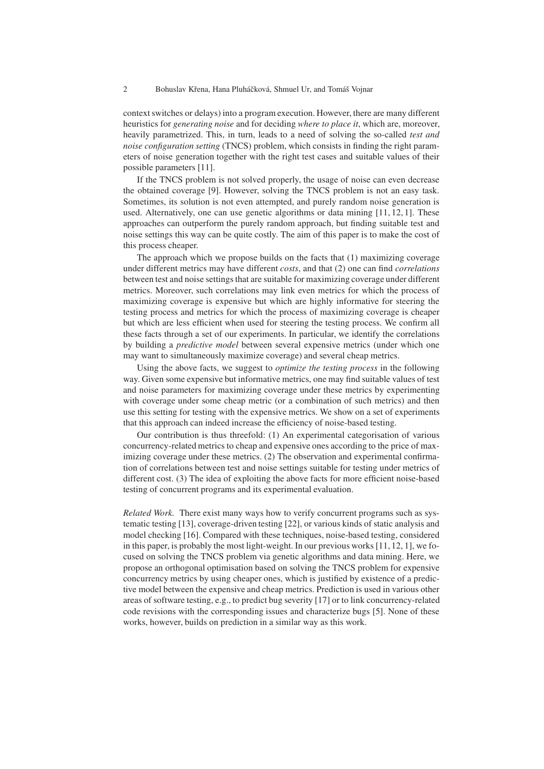#### 2 Bohuslav Křena, Hana Pluháčková, Shmuel Ur, and Tomáš Vojnar

context switches or delays) into a program execution. However, there are many different heuristics for *generating noise* and for deciding *where to place it*, which are, moreover, heavily parametrized. This, in turn, leads to a need of solving the so-called *test and noise configuration setting* (TNCS) problem, which consists in finding the right parameters of noise generation together with the right test cases and suitable values of their possible parameters [11].

If the TNCS problem is not solved properly, the usage of noise can even decrease the obtained coverage [9]. However, solving the TNCS problem is not an easy task. Sometimes, its solution is not even attempted, and purely random noise generation is used. Alternatively, one can use genetic algorithms or data mining [11, 12, 1]. These approaches can outperform the purely random approach, but finding suitable test and noise settings this way can be quite costly. The aim of this paper is to make the cost of this process cheaper.

The approach which we propose builds on the facts that (1) maximizing coverage under different metrics may have different *costs*, and that (2) one can find *correlations* between test and noise settings that are suitable for maximizing coverage under different metrics. Moreover, such correlations may link even metrics for which the process of maximizing coverage is expensive but which are highly informative for steering the testing process and metrics for which the process of maximizing coverage is cheaper but which are less efficient when used for steering the testing process. We confirm all these facts through a set of our experiments. In particular, we identify the correlations by building a *predictive model* between several expensive metrics (under which one may want to simultaneously maximize coverage) and several cheap metrics.

Using the above facts, we suggest to *optimize the testing process* in the following way. Given some expensive but informative metrics, one may find suitable values of test and noise parameters for maximizing coverage under these metrics by experimenting with coverage under some cheap metric (or a combination of such metrics) and then use this setting for testing with the expensive metrics. We show on a set of experiments that this approach can indeed increase the efficiency of noise-based testing.

Our contribution is thus threefold: (1) An experimental categorisation of various concurrency-related metrics to cheap and expensive ones according to the price of maximizing coverage under these metrics. (2) The observation and experimental confirmation of correlations between test and noise settings suitable for testing under metrics of different cost. (3) The idea of exploiting the above facts for more efficient noise-based testing of concurrent programs and its experimental evaluation.

*Related Work.* There exist many ways how to verify concurrent programs such as systematic testing [13], coverage-driven testing [22], or various kinds of static analysis and model checking [16]. Compared with these techniques, noise-based testing, considered in this paper, is probably the most light-weight. In our previous works [11, 12, 1], we focused on solving the TNCS problem via genetic algorithms and data mining. Here, we propose an orthogonal optimisation based on solving the TNCS problem for expensive concurrency metrics by using cheaper ones, which is justified by existence of a predictive model between the expensive and cheap metrics. Prediction is used in various other areas of software testing, e.g., to predict bug severity [17] or to link concurrency-related code revisions with the corresponding issues and characterize bugs [5]. None of these works, however, builds on prediction in a similar way as this work.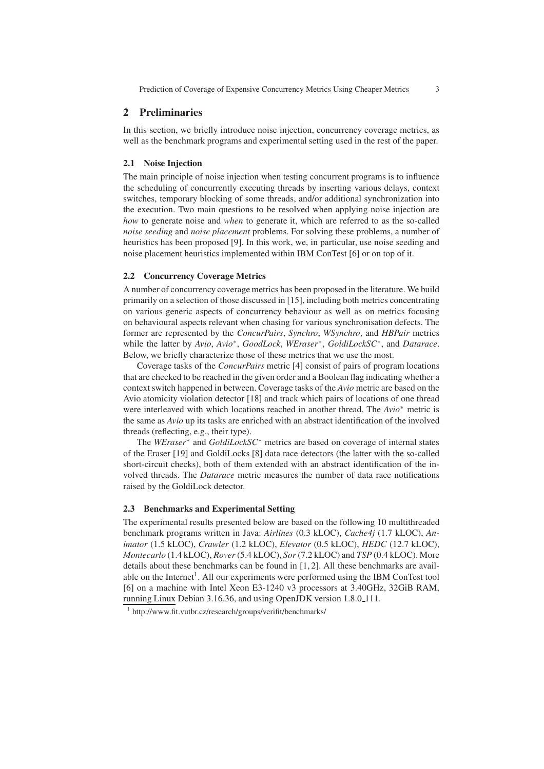Prediction of Coverage of Expensive Concurrency Metrics Using Cheaper Metrics 3

## 2 Preliminaries

In this section, we briefly introduce noise injection, concurrency coverage metrics, as well as the benchmark programs and experimental setting used in the rest of the paper.

#### 2.1 Noise Injection

The main principle of noise injection when testing concurrent programs is to influence the scheduling of concurrently executing threads by inserting various delays, context switches, temporary blocking of some threads, and/or additional synchronization into the execution. Two main questions to be resolved when applying noise injection are *how* to generate noise and *when* to generate it, which are referred to as the so-called *noise seeding* and *noise placement* problems. For solving these problems, a number of heuristics has been proposed [9]. In this work, we, in particular, use noise seeding and noise placement heuristics implemented within IBM ConTest [6] or on top of it.

## 2.2 Concurrency Coverage Metrics

A number of concurrency coverage metrics has been proposed in the literature. We build primarily on a selection of those discussed in [15], including both metrics concentrating on various generic aspects of concurrency behaviour as well as on metrics focusing on behavioural aspects relevant when chasing for various synchronisation defects. The former are represented by the *ConcurPairs*, *Synchro*, *WSynchro*, and *HBPair* metrics while the latter by *Avio*, *Avio*<sup>∗</sup> , *GoodLock*, *WEraser*<sup>∗</sup> , *GoldiLockSC*<sup>∗</sup> , and *Datarace*. Below, we briefly characterize those of these metrics that we use the most.

Coverage tasks of the *ConcurPairs* metric [4] consist of pairs of program locations that are checked to be reached in the given order and a Boolean flag indicating whether a context switch happened in between. Coverage tasks of the *Avio* metric are based on the Avio atomicity violation detector [18] and track which pairs of locations of one thread were interleaved with which locations reached in another thread. The *Avio*<sup>∗</sup> metric is the same as *Avio* up its tasks are enriched with an abstract identification of the involved threads (reflecting, e.g., their type).

The *WEraser*<sup>∗</sup> and *GoldiLockSC*<sup>∗</sup> metrics are based on coverage of internal states of the Eraser [19] and GoldiLocks [8] data race detectors (the latter with the so-called short-circuit checks), both of them extended with an abstract identification of the involved threads. The *Datarace* metric measures the number of data race notifications raised by the GoldiLock detector.

#### 2.3 Benchmarks and Experimental Setting

The experimental results presented below are based on the following 10 multithreaded benchmark programs written in Java: *Airlines* (0.3 kLOC), *Cache4j* (1.7 kLOC), *Animator* (1.5 kLOC), *Crawler* (1.2 kLOC), *Elevator* (0.5 kLOC), *HEDC* (12.7 kLOC), *Montecarlo* (1.4 kLOC), *Rover* (5.4 kLOC), *Sor* (7.2 kLOC) and *TSP* (0.4 kLOC). More details about these benchmarks can be found in [1, 2]. All these benchmarks are available on the Internet<sup>1</sup>. All our experiments were performed using the IBM ConTest tool [6] on a machine with Intel Xeon E3-1240 v3 processors at 3.40GHz, 32GiB RAM, running Linux Debian 3.16.36, and using OpenJDK version 1.8.0 111.

<sup>1</sup> http://www.fit.vutbr.cz/research/groups/verifit/benchmarks/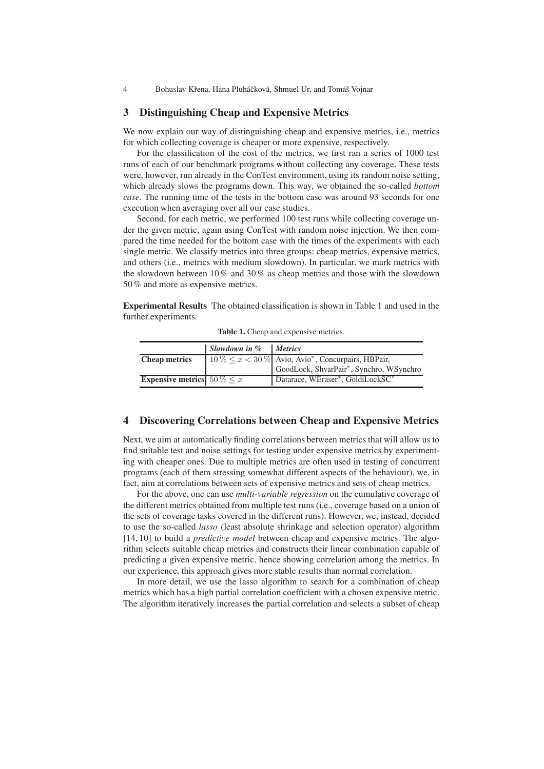4 Bohuslav Křena, Hana Pluháčková, Shmuel Ur, and Tomáš Vojnar

## 3 Distinguishing Cheap and Expensive Metrics

We now explain our way of distinguishing cheap and expensive metrics, i.e., metrics for which collecting coverage is cheaper or more expensive, respectively.

For the classification of the cost of the metrics, we first ran a series of 1000 test runs of each of our benchmark programs without collecting any coverage. These tests were, however, run already in the ConTest environment, using its random noise setting, which already slows the programs down. This way, we obtained the so-called *bottom case*. The running time of the tests in the bottom case was around 93 seconds for one execution when averaging over all our case studies.

Second, for each metric, we performed 100 test runs while collecting coverage under the given metric, again using ConTest with random noise injection. We then compared the time needed for the bottom case with the times of the experiments with each single metric. We classify metrics into three groups: cheap metrics, expensive metrics, and others (i.e., metrics with medium slowdown). In particular, we mark metrics with the slowdown between 10 % and 30 % as cheap metrics and those with the slowdown 50 % and more as expensive metrics.

Experimental Results The obtained classification is shown in Table 1 and used in the further experiments.

|  |  | <b>Table 1.</b> Cheap and expensive metrics. |  |
|--|--|----------------------------------------------|--|
|  |  |                                              |  |

|                                        | $Slowdown$ in $\%$ Metrics |                                                                     |
|----------------------------------------|----------------------------|---------------------------------------------------------------------|
| <b>Cheap metrics</b>                   |                            | $10\% \leq x < 30\%$ Avio, Avio <sup>*</sup> , Concurpairs, HBPair, |
|                                        |                            | GoodLock, ShvarPair*, Synchro, WSynchro                             |
| <b>Expensive metrics</b> $50\% \leq x$ |                            | Datarace, WEraser*, GoldiLockSC*                                    |

## 4 Discovering Correlations between Cheap and Expensive Metrics

Next, we aim at automatically finding correlations between metrics that will allow us to find suitable test and noise settings for testing under expensive metrics by experimenting with cheaper ones. Due to multiple metrics are often used in testing of concurrent programs (each of them stressing somewhat different aspects of the behaviour), we, in fact, aim at correlations between sets of expensive metrics and sets of cheap metrics.

For the above, one can use *multi-variable regression* on the cumulative coverage of the different metrics obtained from multiple test runs (i.e., coverage based on a union of the sets of coverage tasks covered in the different runs). However, we, instead, decided to use the so-called *lasso* (least absolute shrinkage and selection operator) algorithm [14, 10] to build a *predictive model* between cheap and expensive metrics. The algorithm selects suitable cheap metrics and constructs their linear combination capable of predicting a given expensive metric, hence showing correlation among the metrics. In our experience, this approach gives more stable results than normal correlation.

In more detail, we use the lasso algorithm to search for a combination of cheap metrics which has a high partial correlation coefficient with a chosen expensive metric. The algorithm iteratively increases the partial correlation and selects a subset of cheap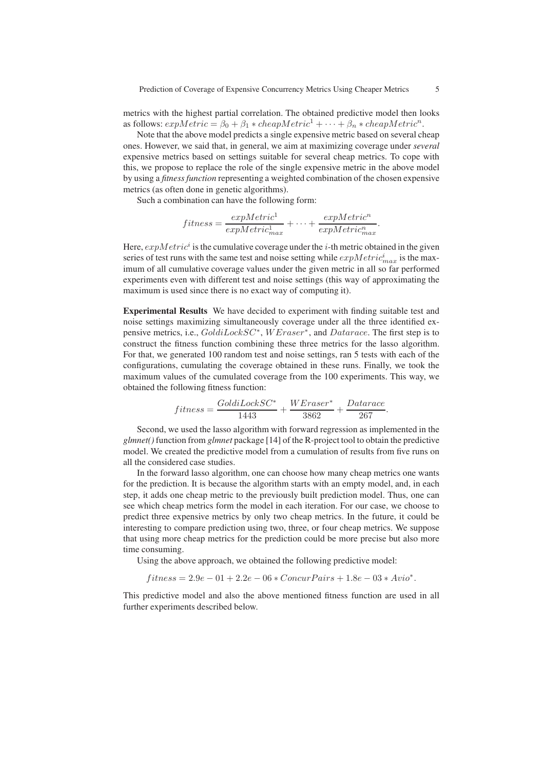metrics with the highest partial correlation. The obtained predictive model then looks as follows:  $expMetric = \beta_0 + \beta_1 * cheapMetric^1 + \cdots + \beta_n * cheapMetric^n$ .

Note that the above model predicts a single expensive metric based on several cheap ones. However, we said that, in general, we aim at maximizing coverage under *several* expensive metrics based on settings suitable for several cheap metrics. To cope with this, we propose to replace the role of the single expensive metric in the above model by using a *fitness function* representing a weighted combination of the chosen expensive metrics (as often done in genetic algorithms).

Such a combination can have the following form:

$$
fitness = \frac{expMetric^1}{expMetric^1_{max}} + \dots + \frac{expMetric^n}{expMetric^m_{max}}.
$$

Here,  $expMetric<sup>i</sup>$  is the cumulative coverage under the *i*-th metric obtained in the given series of test runs with the same test and noise setting while  $expMetric_{max}^i$  is the maximum of all cumulative coverage values under the given metric in all so far performed experiments even with different test and noise settings (this way of approximating the maximum is used since there is no exact way of computing it).

Experimental Results We have decided to experiment with finding suitable test and noise settings maximizing simultaneously coverage under all the three identified expensive metrics, i.e.,  $GoldilLockSC^*$ ,  $WEraser^*$ , and  $Datarace$ . The first step is to construct the fitness function combining these three metrics for the lasso algorithm. For that, we generated 100 random test and noise settings, ran 5 tests with each of the configurations, cumulating the coverage obtained in these runs. Finally, we took the maximum values of the cumulated coverage from the 100 experiments. This way, we obtained the following fitness function:

$$
fitness = \frac{GoldiLockSC^*}{1443} + \frac{WEraser^*}{3862} + \frac{Datarace}{267}.
$$

Second, we used the lasso algorithm with forward regression as implemented in the *glmnet()* function from *glmnet* package [14] of the R-project tool to obtain the predictive model. We created the predictive model from a cumulation of results from five runs on all the considered case studies.

In the forward lasso algorithm, one can choose how many cheap metrics one wants for the prediction. It is because the algorithm starts with an empty model, and, in each step, it adds one cheap metric to the previously built prediction model. Thus, one can see which cheap metrics form the model in each iteration. For our case, we choose to predict three expensive metrics by only two cheap metrics. In the future, it could be interesting to compare prediction using two, three, or four cheap metrics. We suppose that using more cheap metrics for the prediction could be more precise but also more time consuming.

Using the above approach, we obtained the following predictive model:

 $fitness = 2.9e - 01 + 2.2e - 06 * ConcurrentPairs + 1.8e - 03 * Avio<sup>*</sup>.$ 

This predictive model and also the above mentioned fitness function are used in all further experiments described below.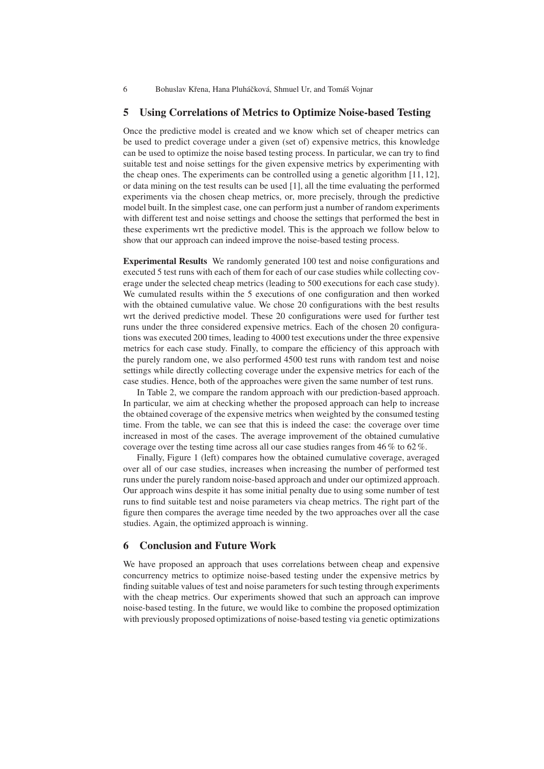6 Bohuslav Křena, Hana Pluháčková, Shmuel Ur, and Tomáš Vojnar

## 5 Using Correlations of Metrics to Optimize Noise-based Testing

Once the predictive model is created and we know which set of cheaper metrics can be used to predict coverage under a given (set of) expensive metrics, this knowledge can be used to optimize the noise based testing process. In particular, we can try to find suitable test and noise settings for the given expensive metrics by experimenting with the cheap ones. The experiments can be controlled using a genetic algorithm [11, 12], or data mining on the test results can be used [1], all the time evaluating the performed experiments via the chosen cheap metrics, or, more precisely, through the predictive model built. In the simplest case, one can perform just a number of random experiments with different test and noise settings and choose the settings that performed the best in these experiments wrt the predictive model. This is the approach we follow below to show that our approach can indeed improve the noise-based testing process.

Experimental Results We randomly generated 100 test and noise configurations and executed 5 test runs with each of them for each of our case studies while collecting coverage under the selected cheap metrics (leading to 500 executions for each case study). We cumulated results within the 5 executions of one configuration and then worked with the obtained cumulative value. We chose 20 configurations with the best results wrt the derived predictive model. These 20 configurations were used for further test runs under the three considered expensive metrics. Each of the chosen 20 configurations was executed 200 times, leading to 4000 test executions under the three expensive metrics for each case study. Finally, to compare the efficiency of this approach with the purely random one, we also performed 4500 test runs with random test and noise settings while directly collecting coverage under the expensive metrics for each of the case studies. Hence, both of the approaches were given the same number of test runs.

In Table 2, we compare the random approach with our prediction-based approach. In particular, we aim at checking whether the proposed approach can help to increase the obtained coverage of the expensive metrics when weighted by the consumed testing time. From the table, we can see that this is indeed the case: the coverage over time increased in most of the cases. The average improvement of the obtained cumulative coverage over the testing time across all our case studies ranges from 46 % to 62 %.

Finally, Figure 1 (left) compares how the obtained cumulative coverage, averaged over all of our case studies, increases when increasing the number of performed test runs under the purely random noise-based approach and under our optimized approach. Our approach wins despite it has some initial penalty due to using some number of test runs to find suitable test and noise parameters via cheap metrics. The right part of the figure then compares the average time needed by the two approaches over all the case studies. Again, the optimized approach is winning.

## 6 Conclusion and Future Work

We have proposed an approach that uses correlations between cheap and expensive concurrency metrics to optimize noise-based testing under the expensive metrics by finding suitable values of test and noise parameters for such testing through experiments with the cheap metrics. Our experiments showed that such an approach can improve noise-based testing. In the future, we would like to combine the proposed optimization with previously proposed optimizations of noise-based testing via genetic optimizations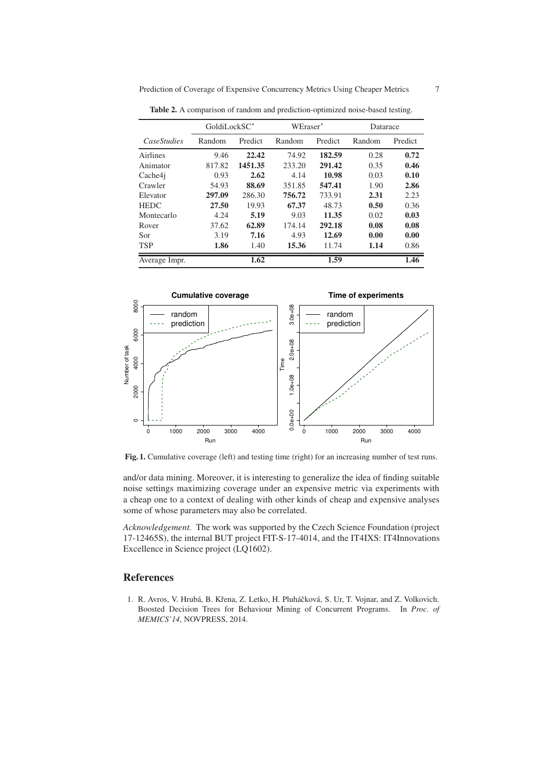|                    | GoldiLockSC* |         | WEraser <sup>*</sup> |         | Datarace |         |
|--------------------|--------------|---------|----------------------|---------|----------|---------|
| <i>CaseStudies</i> | Random       | Predict | Random               | Predict | Random   | Predict |
| Airlines           | 9.46         | 22.42   | 74.92                | 182.59  | 0.28     | 0.72    |
| Animator           | 817.82       | 1451.35 | 233.20               | 291.42  | 0.35     | 0.46    |
| Cache4i            | 0.93         | 2.62    | 4.14                 | 10.98   | 0.03     | 0.10    |
| Crawler            | 54.93        | 88.69   | 351.85               | 547.41  | 1.90     | 2.86    |
| Elevator           | 297.09       | 286.30  | 756.72               | 733.91  | 2.31     | 2.23    |
| <b>HEDC</b>        | 27.50        | 19.93   | 67.37                | 48.73   | 0.50     | 0.36    |
| Montecarlo         | 4.24         | 5.19    | 9.03                 | 11.35   | 0.02     | 0.03    |
| Rover              | 37.62        | 62.89   | 174.14               | 292.18  | 0.08     | 0.08    |
| Sor                | 3.19         | 7.16    | 4.93                 | 12.69   | 0.00     | 0.00    |
| <b>TSP</b>         | 1.86         | 1.40    | 15.36                | 11.74   | 1.14     | 0.86    |
| Average Impr.      |              | 1.62    |                      | 1.59    |          | 1.46    |

Table 2. A comparison of random and prediction-optimized noise-based testing.



Fig. 1. Cumulative coverage (left) and testing time (right) for an increasing number of test runs.

and/or data mining. Moreover, it is interesting to generalize the idea of finding suitable noise settings maximizing coverage under an expensive metric via experiments with a cheap one to a context of dealing with other kinds of cheap and expensive analyses some of whose parameters may also be correlated.

*Acknowledgement.* The work was supported by the Czech Science Foundation (project 17-12465S), the internal BUT project FIT-S-17-4014, and the IT4IXS: IT4Innovations Excellence in Science project (LQ1602).

# References

1. R. Avros, V. Hrubá, B. Křena, Z. Letko, H. Pluháčková, S. Ur, T. Vojnar, and Z. Volkovich. Boosted Decision Trees for Behaviour Mining of Concurrent Programs. In *Proc. of MEMICS'14*, NOVPRESS, 2014.